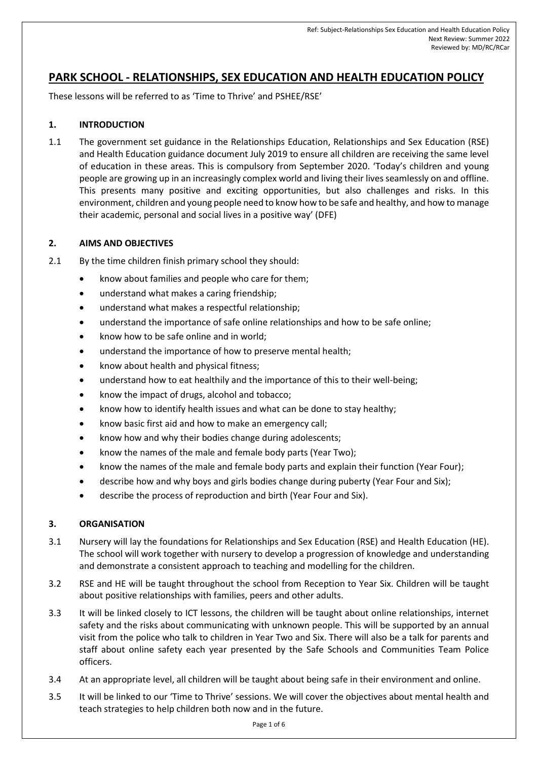## **PARK SCHOOL - RELATIONSHIPS, SEX EDUCATION AND HEALTH EDUCATION POLICY**

These lessons will be referred to as 'Time to Thrive' and PSHEE/RSE'

#### **1. INTRODUCTION**

1.1 The government set guidance in the Relationships Education, Relationships and Sex Education (RSE) and Health Education guidance document July 2019 to ensure all children are receiving the same level of education in these areas. This is compulsory from September 2020. 'Today's children and young people are growing up in an increasingly complex world and living their lives seamlessly on and offline. This presents many positive and exciting opportunities, but also challenges and risks. In this environment, children and young people need to know how to be safe and healthy, and how to manage their academic, personal and social lives in a positive way' (DFE)

#### **2. AIMS AND OBJECTIVES**

- 2.1 By the time children finish primary school they should:
	- know about families and people who care for them;
	- understand what makes a caring friendship;
	- understand what makes a respectful relationship;
	- understand the importance of safe online relationships and how to be safe online;
	- know how to be safe online and in world;
	- understand the importance of how to preserve mental health;
	- know about health and physical fitness;
	- understand how to eat healthily and the importance of this to their well-being;
	- know the impact of drugs, alcohol and tobacco;
	- know how to identify health issues and what can be done to stay healthy;
	- know basic first aid and how to make an emergency call;
	- know how and why their bodies change during adolescents;
	- know the names of the male and female body parts (Year Two);
	- know the names of the male and female body parts and explain their function (Year Four);
	- describe how and why boys and girls bodies change during puberty (Year Four and Six);
	- describe the process of reproduction and birth (Year Four and Six).

#### **3. ORGANISATION**

- 3.1 Nursery will lay the foundations for Relationships and Sex Education (RSE) and Health Education (HE). The school will work together with nursery to develop a progression of knowledge and understanding and demonstrate a consistent approach to teaching and modelling for the children.
- 3.2 RSE and HE will be taught throughout the school from Reception to Year Six. Children will be taught about positive relationships with families, peers and other adults.
- 3.3 It will be linked closely to ICT lessons, the children will be taught about online relationships, internet safety and the risks about communicating with unknown people. This will be supported by an annual visit from the police who talk to children in Year Two and Six. There will also be a talk for parents and staff about online safety each year presented by the Safe Schools and Communities Team Police officers.
- 3.4 At an appropriate level, all children will be taught about being safe in their environment and online.
- 3.5 It will be linked to our 'Time to Thrive' sessions. We will cover the objectives about mental health and teach strategies to help children both now and in the future.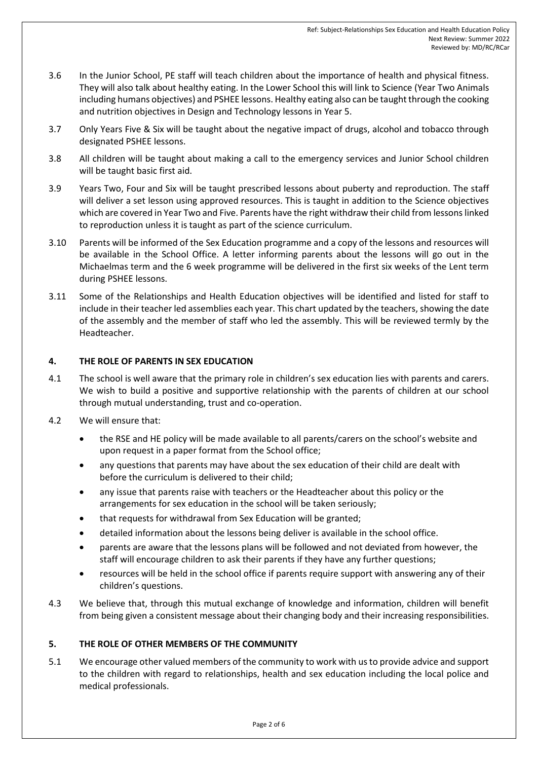- 3.6 In the Junior School, PE staff will teach children about the importance of health and physical fitness. They will also talk about healthy eating. In the Lower School this will link to Science (Year Two Animals including humans objectives) and PSHEE lessons. Healthy eating also can be taught through the cooking and nutrition objectives in Design and Technology lessons in Year 5.
- 3.7 Only Years Five & Six will be taught about the negative impact of drugs, alcohol and tobacco through designated PSHEE lessons.
- 3.8 All children will be taught about making a call to the emergency services and Junior School children will be taught basic first aid.
- 3.9 Years Two, Four and Six will be taught prescribed lessons about puberty and reproduction. The staff will deliver a set lesson using approved resources. This is taught in addition to the Science objectives which are covered in Year Two and Five. Parents have the right withdraw their child from lessons linked to reproduction unless it is taught as part of the science curriculum.
- 3.10 Parents will be informed of the Sex Education programme and a copy of the lessons and resources will be available in the School Office. A letter informing parents about the lessons will go out in the Michaelmas term and the 6 week programme will be delivered in the first six weeks of the Lent term during PSHEE lessons.
- 3.11 Some of the Relationships and Health Education objectives will be identified and listed for staff to include in their teacher led assemblies each year. This chart updated by the teachers, showing the date of the assembly and the member of staff who led the assembly. This will be reviewed termly by the Headteacher.

#### **4. THE ROLE OF PARENTS IN SEX EDUCATION**

- 4.1 The school is well aware that the primary role in children's sex education lies with parents and carers. We wish to build a positive and supportive relationship with the parents of children at our school through mutual understanding, trust and co-operation.
- 4.2 We will ensure that:
	- the RSE and HE policy will be made available to all parents/carers on the school's website and upon request in a paper format from the School office;
	- any questions that parents may have about the sex education of their child are dealt with before the curriculum is delivered to their child;
	- any issue that parents raise with teachers or the Headteacher about this policy or the arrangements for sex education in the school will be taken seriously;
	- that requests for withdrawal from Sex Education will be granted;
	- detailed information about the lessons being deliver is available in the school office.
	- parents are aware that the lessons plans will be followed and not deviated from however, the staff will encourage children to ask their parents if they have any further questions;
	- resources will be held in the school office if parents require support with answering any of their children's questions.
- 4.3 We believe that, through this mutual exchange of knowledge and information, children will benefit from being given a consistent message about their changing body and their increasing responsibilities.

#### **5. THE ROLE OF OTHER MEMBERS OF THE COMMUNITY**

5.1 We encourage other valued members of the community to work with us to provide advice and support to the children with regard to relationships, health and sex education including the local police and medical professionals.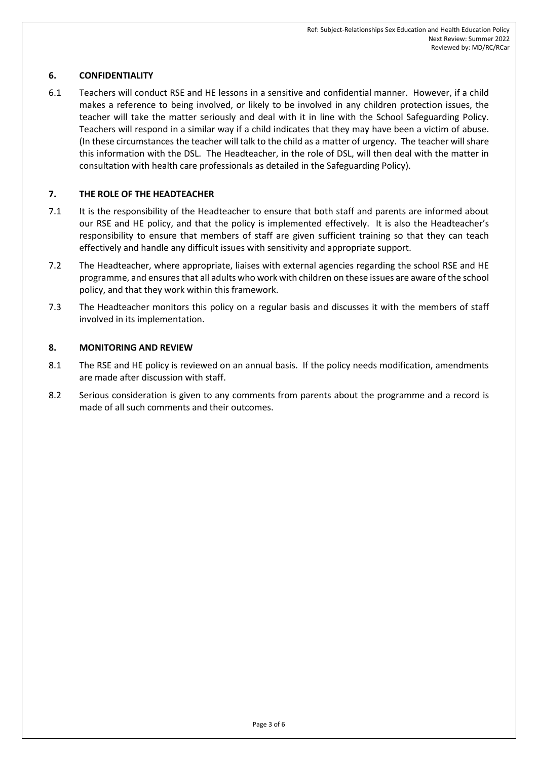### **6. CONFIDENTIALITY**

6.1 Teachers will conduct RSE and HE lessons in a sensitive and confidential manner. However, if a child makes a reference to being involved, or likely to be involved in any children protection issues, the teacher will take the matter seriously and deal with it in line with the School Safeguarding Policy. Teachers will respond in a similar way if a child indicates that they may have been a victim of abuse. (In these circumstances the teacher will talk to the child as a matter of urgency. The teacher will share this information with the DSL. The Headteacher, in the role of DSL, will then deal with the matter in consultation with health care professionals as detailed in the Safeguarding Policy).

#### **7. THE ROLE OF THE HEADTEACHER**

- 7.1 It is the responsibility of the Headteacher to ensure that both staff and parents are informed about our RSE and HE policy, and that the policy is implemented effectively. It is also the Headteacher's responsibility to ensure that members of staff are given sufficient training so that they can teach effectively and handle any difficult issues with sensitivity and appropriate support.
- 7.2 The Headteacher, where appropriate, liaises with external agencies regarding the school RSE and HE programme, and ensures that all adults who work with children on these issues are aware of the school policy, and that they work within this framework.
- 7.3 The Headteacher monitors this policy on a regular basis and discusses it with the members of staff involved in its implementation.

#### **8. MONITORING AND REVIEW**

- 8.1 The RSE and HE policy is reviewed on an annual basis. If the policy needs modification, amendments are made after discussion with staff.
- 8.2 Serious consideration is given to any comments from parents about the programme and a record is made of all such comments and their outcomes.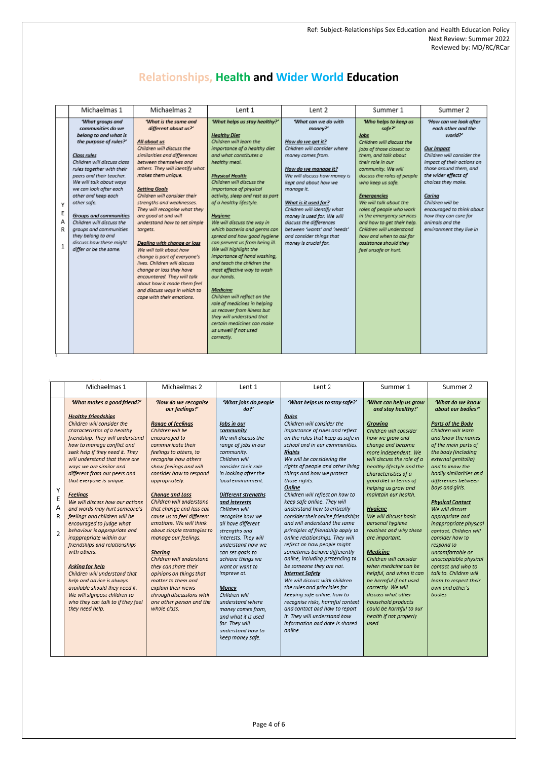# **Relationships, Health and Wider World Education**

| Michaelmas 1                                                                                                                                                                                                                                                                                                                                                                                                                                                             |  | Michaelmas 2                                                                                                                                                                                                                                                                                                                                                                                                                                                                                                                                                                                                                                                               | Lent 1                                                                                                                                                                                                                                                                                                                                                                                                                                                                                                                                                                                                                                                                                                                                                                                                            | Lent 2                                                                                                                                                                                                                                                                                                                                                                                                       | Summer 1                                                                                                                                                                                                                                                                                                                                                                                                                                                               | Summer 2                                                                                                                                                                                                                                                                                                                                     |
|--------------------------------------------------------------------------------------------------------------------------------------------------------------------------------------------------------------------------------------------------------------------------------------------------------------------------------------------------------------------------------------------------------------------------------------------------------------------------|--|----------------------------------------------------------------------------------------------------------------------------------------------------------------------------------------------------------------------------------------------------------------------------------------------------------------------------------------------------------------------------------------------------------------------------------------------------------------------------------------------------------------------------------------------------------------------------------------------------------------------------------------------------------------------------|-------------------------------------------------------------------------------------------------------------------------------------------------------------------------------------------------------------------------------------------------------------------------------------------------------------------------------------------------------------------------------------------------------------------------------------------------------------------------------------------------------------------------------------------------------------------------------------------------------------------------------------------------------------------------------------------------------------------------------------------------------------------------------------------------------------------|--------------------------------------------------------------------------------------------------------------------------------------------------------------------------------------------------------------------------------------------------------------------------------------------------------------------------------------------------------------------------------------------------------------|------------------------------------------------------------------------------------------------------------------------------------------------------------------------------------------------------------------------------------------------------------------------------------------------------------------------------------------------------------------------------------------------------------------------------------------------------------------------|----------------------------------------------------------------------------------------------------------------------------------------------------------------------------------------------------------------------------------------------------------------------------------------------------------------------------------------------|
| What groups and<br>communities do we<br>belong to and what is<br>the purpose of rules?'<br>Class rules<br>Children will discuss class<br>rules together with their<br>peers and their teacher.<br>We will talk about ways<br>we can look after each<br>other and keep each<br>other safe.<br><b>Groups and communities</b><br>Children will discuss the<br>groups and communities<br>targets.<br>they belong to and<br>discuss how these might<br>differ or be the same. |  | What is the same and<br>different about us?'<br>All about us<br>Children will discuss the<br>similarities and differences<br>between themselves and<br>others. They will identify what<br>makes them unique.<br><b>Setting Goals</b><br>Children will consider their<br>strengths and weaknesses.<br>They will recognise what they<br>are good at and will<br>understand how to set simple<br>Dealing with change or loss<br>We will talk about how<br>change is part of everyone's<br>lives. Children will discuss<br>change or loss they have<br>encountered. They will talk<br>about how it made them feel<br>and discuss ways in which to<br>cope with their emotions. | 'What helps us stay healthy?'<br><b>Healthy Diet</b><br>Children will learn the<br>importance of a healthy diet<br>and what constitutes a<br>healthy meal.<br><b>Physical Health</b><br>Children will discuss the<br>importance of physical<br>activity, sleep and rest as part<br>of a healthy lifestyle.<br><b>Hygiene</b><br>We will discuss the way in<br>which bacteria and germs can<br>spread and how good hygiene<br>can prevent us from being ill.<br>We will highlight the<br>importance of hand washing,<br>and teach the children the<br>most effective way to wash<br>our hands.<br><b>Medicine</b><br>Children will reflect on the<br>role of medicines in helping<br>us recover from illness but<br>they will understand that<br>certain medicines can make<br>us unwell if not used<br>correctly. | 'What can we do with<br>money?'<br>How do we get it?<br>Children will consider where<br>money comes from.<br>How do we manage it?<br>We will discuss how money is<br>kept and about how we<br>manage it.<br>What is it used for?<br>Children will identify what<br>money is used for. We will<br>discuss the differences<br>between 'wants' and 'needs'<br>and consider things that<br>money is crucial for. | Who helps to keep us<br>safe?'<br>Jobs<br>Children will discuss the<br>iobs of those closest to<br>them, and talk about<br>their role in our<br>community. We will<br>discuss the roles of people<br>who keep us safe.<br><b>Emergencies</b><br>We will talk about the<br>roles of people who work<br>in the emergency services<br>and how to get their help.<br>Children will understand<br>how and when to ask for<br>assistance should they<br>feel unsafe or hurt. | 'How can we look after<br>each other and the<br>world?'<br>Our Impact<br>Children will consider the<br>impact of their actions on<br>those around them, and<br>the wider effects of<br>choices they make.<br>Caring<br>Children will be<br>encouraged to think about<br>how they can care for<br>animals and the<br>environment they live in |
|                                                                                                                                                                                                                                                                                                                                                                                                                                                                          |  |                                                                                                                                                                                                                                                                                                                                                                                                                                                                                                                                                                                                                                                                            |                                                                                                                                                                                                                                                                                                                                                                                                                                                                                                                                                                                                                                                                                                                                                                                                                   |                                                                                                                                                                                                                                                                                                                                                                                                              |                                                                                                                                                                                                                                                                                                                                                                                                                                                                        |                                                                                                                                                                                                                                                                                                                                              |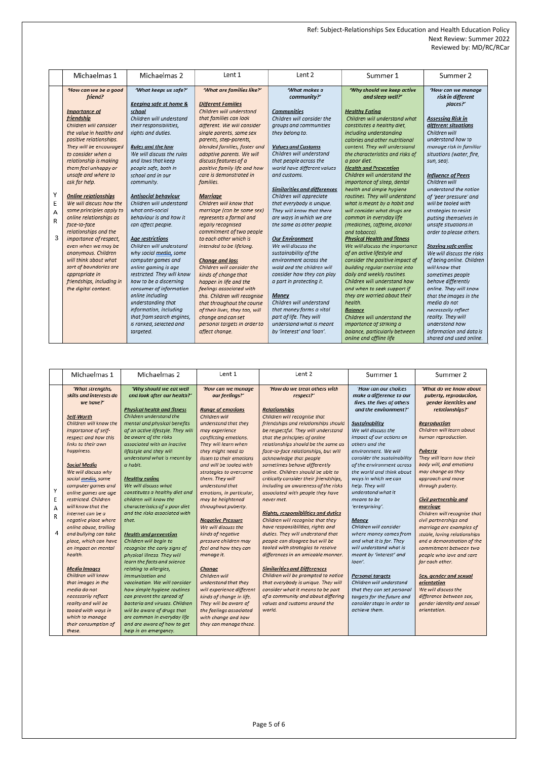|   | Michaelmas 1                         | Michaelmas 2               | Lent 1                                                | Lent 2                                                | Summer 1                                       | Summer 2                                            |
|---|--------------------------------------|----------------------------|-------------------------------------------------------|-------------------------------------------------------|------------------------------------------------|-----------------------------------------------------|
|   | 'How can we be a good<br>friend?     | 'What keeps us safe?'      | 'What are families like?'                             | What makes a<br>community?'                           | 'Why should we keep active<br>and sleep well?' | 'How can we manage<br>risk in different<br>places?' |
|   |                                      | Keeping safe at home &     | <b>Different Families</b><br>Children will understand |                                                       |                                                |                                                     |
|   | <b>Importance</b> of                 | school                     |                                                       | <b>Communities</b>                                    | <b>Healthy Eating</b>                          |                                                     |
|   | friendship<br>Children will consider | Children will understand   | that families can look                                | Children will consider the                            | Children will understand what                  | <b>Assessing Risk in</b>                            |
|   |                                      | their responsibilities,    | different. We will consider                           | groups and communities                                | constitutes a healthy diet,                    | different situations                                |
|   | the value in healthy and             | riahts and duties.         | single parents, same sex                              | they belong to.                                       | including understanding                        | Children will<br>understand how to                  |
|   | positive relationships.              |                            | parents, step-parents,                                |                                                       | calories and other nutritional                 |                                                     |
|   | They will be encouraged              | Rules and the law          | blended families, foster and                          | <b>Values and Customs</b><br>Children will understand | content. They will understand                  | manage risk in familiar                             |
|   | to consider when a                   | We will discuss the rules  | adoptive parents. We will                             |                                                       | the characteristics and risks of               | situations (water, fire,                            |
|   | relationship is making               | and laws that keep         | discuss features of a                                 | that people across the                                | a poor diet.                                   | sun, sea).                                          |
|   | them feel unhappy or                 | people safe, both in       | positive family life and how                          | world have different values                           | <b>Health and Prevention</b>                   |                                                     |
|   | unsafe and where to                  | school and in our          | care is demonstrated in                               | and customs.                                          | Children will understand the                   | <b>Influence of Peers</b>                           |
|   | ask for help.                        | community.                 | families.                                             |                                                       | importance of sleep, dental                    | Children will                                       |
| Y |                                      |                            |                                                       | <b>Similarities and differences</b>                   | health and simple hygiene                      | understand the notion                               |
|   | <b>Online relationships</b>          | Antisocial behaviour       | Marriage                                              | Children will appreciate                              | routines. They will understand                 | of 'peer pressure' and                              |
| E | We will discuss how the              | Children will understand   | Children will know that                               | that everybody is unique.                             | what is meant by a habit and                   | will be tooled with                                 |
| A | same principles apply to             | what anti-social           | marriage (can be same sex)                            | They will know that there                             | will consider what drugs are                   | strategies to resist                                |
| R | online relationships as              | behaviour is and how it    | represents a formal and                               | are ways in which we are                              | common in everyday life                        | putting themselves in                               |
|   | face-to-face                         | can affect people.         | legally recognised                                    | the same as other people.                             | (medicines, caffeine, alcohol                  | unsafe situations in                                |
|   | relationships and the                |                            | commitment of two people                              |                                                       | and tobacco).                                  | order to please others.                             |
| 3 | importance of respect,               | <b>Age restrictions</b>    | to each other which is                                | <b>Our Environment</b>                                | <b>Physical Health and fitness</b>             |                                                     |
|   | even when we may be                  | Children will understand   | intended to be lifelong.                              | We will discuss the                                   | We will discuss the importance                 | <b>Staying safe online</b>                          |
|   | anonymous. Children                  | why social media, some     |                                                       | sustainability of the                                 | of an active lifestyle and                     | We will discuss the risks                           |
|   | will think about what                | computer games and         | <b>Change and loss</b>                                | environment across the                                | consider the positive impact of                | of being online. Children                           |
|   | sort of boundaries are               | online gaming is age       | Children will consider the                            | wold and the children will                            | building regular exercise into                 | will know that                                      |
|   | appropriate in                       | restricted. They will know | kinds of change that                                  | consider how they can play                            | daily and weekly routines.                     | sometimes people                                    |
|   | friendships, including in            | how to be a discerning     | happen in life and the                                | a part in protecting it.                              | Children will understand how                   | behave differently                                  |
|   | the digital context.                 | consumer of information    | feelings associated with                              |                                                       | and when to seek support if                    | online. They will know                              |
|   |                                      | online including           | this. Children will recognise                         | Money                                                 | they are worried about their                   | that the images in the                              |
|   |                                      | understanding that         | that throughout the course                            | Children will understand                              | health.                                        | media do not                                        |
|   |                                      | information, including     | of their lives, they too, will                        | that money forms a vital                              | <b>Balance</b>                                 | necessarily reflect                                 |
|   |                                      | that from search engines,  | change and can set                                    | part of life. They will                               | Children will understand the                   | reality. They will                                  |
|   |                                      | is ranked, selected and    | personal targets in order to                          | understand what is meant                              | importance of striking a                       | understand how                                      |
|   |                                      | taraeted.                  | affect change.                                        | by 'interest' and 'loan'.                             | balance, particularly between                  | information and data is                             |
|   |                                      |                            |                                                       |                                                       | online and offline life                        | shared and used online.                             |

|                  | Michaelmas 1                                                                                                                                                                                              | Michaelmas 2                                                                                                                                                                                                                                                                                    | Lent 1                                                                                                                                                                                                        | Lent 2                                                                                                                                                                                                                                                   | Summer 1                                                                                                                                                                       | Summer 2                                                                                                                                                        |
|------------------|-----------------------------------------------------------------------------------------------------------------------------------------------------------------------------------------------------------|-------------------------------------------------------------------------------------------------------------------------------------------------------------------------------------------------------------------------------------------------------------------------------------------------|---------------------------------------------------------------------------------------------------------------------------------------------------------------------------------------------------------------|----------------------------------------------------------------------------------------------------------------------------------------------------------------------------------------------------------------------------------------------------------|--------------------------------------------------------------------------------------------------------------------------------------------------------------------------------|-----------------------------------------------------------------------------------------------------------------------------------------------------------------|
|                  | 'What strengths,<br>skills and interests do<br>we have?'<br>Self-Worth                                                                                                                                    | 'Why should we eat well<br>and look after our health?'<br><b>Physical health and fitness</b><br>Children understand the                                                                                                                                                                         | 'How can we manage<br>our feelings?'<br><b>Range of emotions</b><br>Children will                                                                                                                             | 'How do we treat others with<br>respect?'<br><b>Relationships</b><br>Children will recoanise that                                                                                                                                                        | 'How can our choices<br>make a difference to our<br>lives, the lives of others<br>and the environment?'                                                                        | 'What do we know about<br>puberty, reproduction,<br>gender identities and<br>relationships?'                                                                    |
|                  | Children will know the<br>importance of self-<br>respect and how this<br>links to their own<br>happiness.<br><b>Social Media</b>                                                                          | mental and physical benefits<br>of an active lifestyle. They will<br>be aware of the risks<br>associated with an inactive<br>lifestyle and they will<br>understand what is meant by<br>a habit.                                                                                                 | understand that they<br>may experience<br>conflicting emotions.<br>They will learn when<br>they might need to<br>listen to their emotions<br>and will be tooled with                                          | friendships and relationships should<br>be respectful. They will understand<br>that the principles of online<br>relationships should be the same as<br>face-to-face relationships, but will<br>acknowledge that people<br>sometimes behave differently   | <b>Sustainability</b><br>We will discuss the<br>impact of our actions on<br>others and the<br>environment. We will<br>consider the sustainability<br>of the environment across | <b>Reproduction</b><br>Children will learn about<br>human reproduction.<br>Puberty<br>They will learn how their<br>body will, and emotions                      |
| Υ<br>E<br>А<br>R | We will discuss why<br>social media, some<br>computer games and<br>online games are age<br>restricted. Children<br>will know that the<br>internet can be a                                                | <b>Healthy eating</b><br>We will discuss what<br>constitutes a healthy diet and<br>children will know the<br>characteristics of a poor diet<br>and the risks associated with                                                                                                                    | strategies to overcome<br>them. They will<br>understand that<br>emotions, in particular,<br>may be heightened<br>throughout puberty.                                                                          | online. Children should be able to<br>critically consider their friendships,<br>including an awareness of the risks<br>associated with people they have<br>never met.<br><b>Rights, responsibilities and duties</b><br>Children will recognise that they | the world and think about<br>ways in which we can<br>help. They will<br>understand what it<br>means to be<br>'enterprising'.                                                   | may change as they<br>approach and move<br>through puberty.<br>Civil partnership and<br>marriage<br>Children will recognise that<br>civil partnerships and      |
| 4                | negative place where<br>online abuse, trollina<br>and bullying can take<br>place, which can have<br>an impact on mental<br>health.                                                                        | that.<br><b>Health and prevention</b><br>Children will begin to<br>recognise the early signs of<br>physical illness. They will<br>learn the facts and science                                                                                                                                   | <b>Negative Pressure</b><br>We will discuss the<br>kinds of negative<br>pressure children may<br>feel and how they can<br>manage it.                                                                          | have responsibilities, rights and<br>duties. They will understand that<br>people can disagree but will be<br>tooled with strategies to resolve<br>differences in an amicable manner.                                                                     | Money<br>Children will consider<br>where money comes from<br>and what it is for. They<br>will understand what is<br>meant by 'interest' and<br>loan'.                          | marriage are examples of<br>stable, loving relationships<br>and a demonstration of the<br>commitment between two<br>people who love and care<br>for each other. |
|                  | <b>Media Images</b><br>Children will know<br>that images in the<br>media do not<br>necessarily reflect<br>reality and will be<br>tooled with ways in<br>which to manage<br>their consumption of<br>these. | relating to allergies,<br>immunisation and<br>vaccination. We will consider<br>how simple hygiene routines<br>can prevent the spread of<br>bacteria and viruses. Children<br>will be aware of drugs that<br>are common in everyday life<br>and are aware of how to get<br>help in an emergency. | Change<br>Children will<br>understand that they<br>will experience different<br>kinds of change in life.<br>They will be aware of<br>the feelings associated<br>with change and how<br>they can manage these. | <b>Similarities and Differences</b><br>Children will be prompted to notice<br>that everybody is unique. They will<br>consider what it means to be part<br>of a community and about differing<br>values and customs around the<br>world.                  | <b>Personal taraets</b><br>Children will understand<br>that they can set personal<br>taraets for the future and<br>consider steps in order to<br>achieve them.                 | Sex, gender and sexual<br>orientation<br>We will discuss the<br>difference between sex,<br>gender identity and sexual<br>orientation.                           |